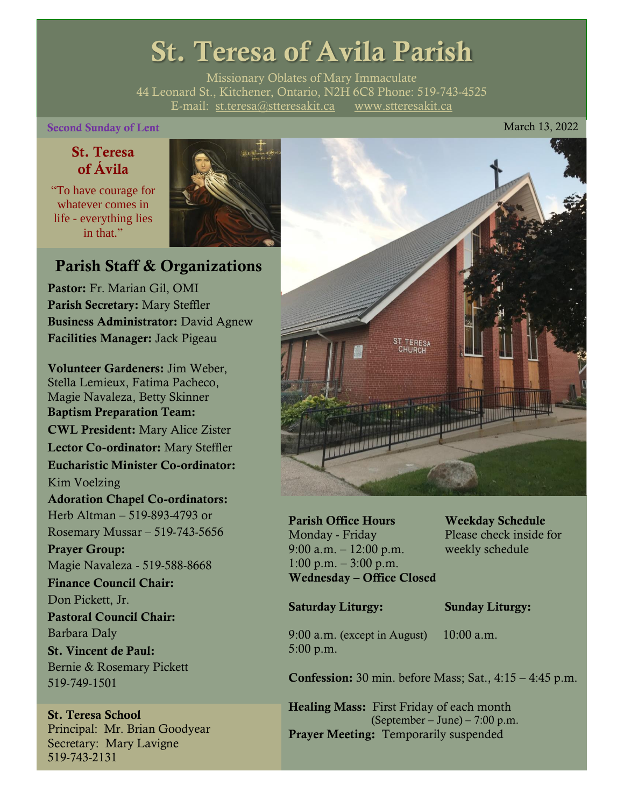# St. Teresa of Avila Parish

Missionary Oblates of Mary Immaculate 44 Leonard St., Kitchener, Ontario, N2H 6C8 Phone: 519-743-4525 E-mail: [st.teresa@stteresakit.ca](mailto:st.teresa@stteresakit.ca) [www.stteresakit.ca](http://www.stteresakit.ca/)

#### Second Sunday of Lent March 13, 2022

# St. Teresa of Ávila

"To have courage for whatever comes in life - everything lies in that"



# Parish Staff & Organizations

Pastor: Fr. Marian Gil, OMI Parish Secretary: Mary Steffler Business Administrator: David Agnew Facilities Manager: Jack Pigeau

Volunteer Gardeners: Jim Weber, Stella Lemieux, Fatima Pacheco, Magie Navaleza, Betty Skinner Baptism Preparation Team: CWL President: Mary Alice Zister Lector Co-ordinator: Mary Steffler Eucharistic Minister Co-ordinator: Kim Voelzing Adoration Chapel Co-ordinators: Herb Altman – 519-893-4793 or Rosemary Mussar – 519-743-5656 Prayer Group: Magie Navaleza - 519-588-8668 Finance Council Chair: Don Pickett, Jr. Pastoral Council Chair: Barbara Daly St. Vincent de Paul: Bernie & Rosemary Pickett 519-749-1501

#### St. Teresa School Principal: Mr. Brian Goodyear Secretary: Mary Lavigne 519-743-2131



Parish Office Hours Weekday Schedule Monday - Friday Please check inside for 9:00 a.m. – 12:00 p.m. weekly schedule  $1:00 \text{ p.m.} - 3:00 \text{ p.m.}$ Wednesday – Office Closed

#### Saturday Liturgy: Sunday Liturgy:

9:00 a.m. (except in August) 10:00 a.m. 5:00 p.m.

Confession: 30 min. before Mass; Sat., 4:15 – 4:45 p.m.

Healing Mass: First Friday of each month (September – June) – 7:00 p.m. Prayer Meeting: Temporarily suspended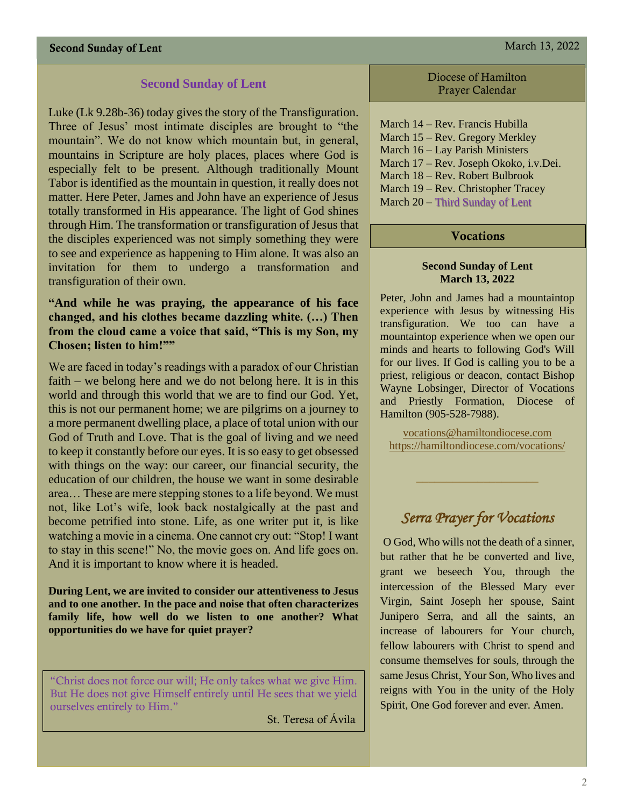## **Second Sunday of Lent**

Luke (Lk 9.28b-36) today gives the story of the Transfiguration. Three of Jesus' most intimate disciples are brought to "the mountain". We do not know which mountain but, in general, mountains in Scripture are holy places, places where God is especially felt to be present. Although traditionally Mount Tabor is identified as the mountain in question, it really does not matter. Here Peter, James and John have an experience of Jesus totally transformed in His appearance. The light of God shines through Him. The transformation or transfiguration of Jesus that the disciples experienced was not simply something they were to see and experience as happening to Him alone. It was also an invitation for them to undergo a transformation and transfiguration of their own.

## **"And while he was praying, the appearance of his face changed, and his clothes became dazzling white. (…) Then from the cloud came a voice that said, "This is my Son, my Chosen; listen to him!""**

We are faced in today's readings with a paradox of our Christian faith – we belong here and we do not belong here. It is in this world and through this world that we are to find our God. Yet, this is not our permanent home; we are pilgrims on a journey to a more permanent dwelling place, a place of total union with our God of Truth and Love. That is the goal of living and we need to keep it constantly before our eyes. It is so easy to get obsessed with things on the way: our career, our financial security, the education of our children, the house we want in some desirable area… These are mere stepping stones to a life beyond. We must not, like Lot's wife, look back nostalgically at the past and become petrified into stone. Life, as one writer put it, is like watching a movie in a cinema. One cannot cry out: "Stop! I want to stay in this scene!" No, the movie goes on. And life goes on. And it is important to know where it is headed.

**During Lent, we are invited to consider our attentiveness to Jesus and to one another. In the pace and noise that often characterizes family life, how well do we listen to one another? What opportunities do we have for quiet prayer?**

"Christ does not force our will; He only takes what we give Him. But He does not give Himself entirely until He sees that we yield ourselves entirely to Him."

St. Teresa of Ávila

Diocese of Hamilton Prayer Calendar

March 14 – Rev. Francis Hubilla March 15 – Rev. Gregory Merkley March 16 – Lay Parish Ministers March 17 – Rev. Joseph Okoko, i.v.Dei. March 18 – Rev. Robert Bulbrook March 19 – Rev. Christopher Tracey March 20 – Third Sunday of Lent

#### **Vocations**

#### **Second Sunday of Lent March 13, 2022**

Peter, John and James had a mountaintop experience with Jesus by witnessing His transfiguration. We too can have a mountaintop experience when we open our minds and hearts to following God's Will for our lives. If God is calling you to be a priest, religious or deacon, contact Bishop Wayne Lobsinger, Director of Vocations and Priestly Formation, Diocese of Hamilton (905-528-7988).

[vocations@hamiltondiocese.com](mailto:vocations@hamiltondiocese.com)  <https://hamiltondiocese.com/vocations/>

# *Serra Prayer for Vocations*

O God, Who wills not the death of a sinner, but rather that he be converted and live, grant we beseech You, through the intercession of the Blessed Mary ever Virgin, Saint Joseph her spouse, Saint Junipero Serra, and all the saints, an increase of labourers for Your church, fellow labourers with Christ to spend and consume themselves for souls, through the same Jesus Christ, Your Son, Who lives and reigns with You in the unity of the Holy Spirit, One God forever and ever. Amen.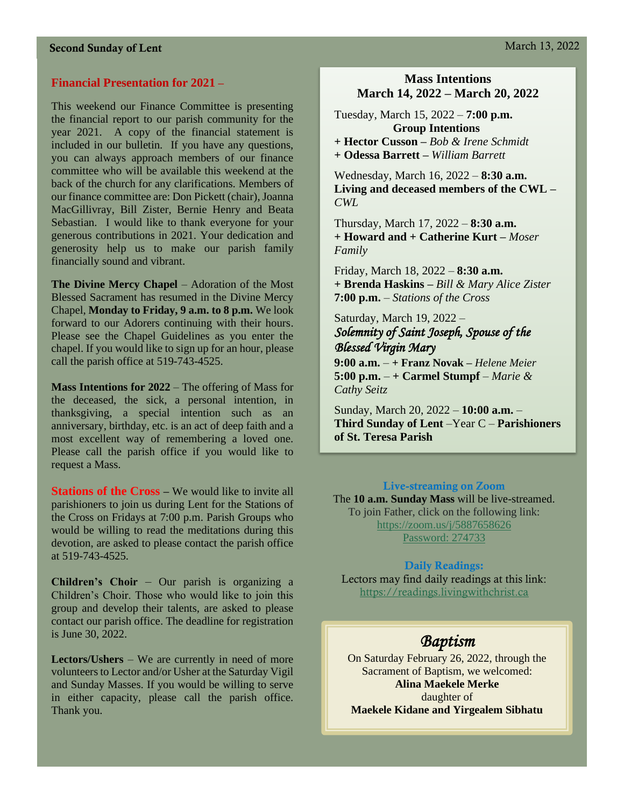# **Financial Presentation for 2021 –**

This weekend our Finance Committee is presenting the financial report to our parish community for the year 2021. A copy of the financial statement is included in our bulletin. If you have any questions, you can always approach members of our finance committee who will be available this weekend at the back of the church for any clarifications. Members of our finance committee are: Don Pickett (chair), Joanna MacGillivray, Bill Zister, Bernie Henry and Beata Sebastian. I would like to thank everyone for your generous contributions in 2021. Your dedication and generosity help us to make our parish family financially sound and vibrant.

**The Divine Mercy Chapel** – Adoration of the Most Blessed Sacrament has resumed in the Divine Mercy Chapel, **Monday to Friday, 9 a.m. to 8 p.m.** We look forward to our Adorers continuing with their hours. Please see the Chapel Guidelines as you enter the chapel. If you would like to sign up for an hour, please call the parish office at 519-743-4525.

**Mass Intentions for 2022** – The offering of Mass for the deceased, the sick, a personal intention, in thanksgiving, a special intention such as an anniversary, birthday, etc. is an act of deep faith and a most excellent way of remembering a loved one. Please call the parish office if you would like to request a Mass.

**Stations of the Cross –** We would like to invite all parishioners to join us during Lent for the Stations of the Cross on Fridays at 7:00 p.m. Parish Groups who would be willing to read the meditations during this devotion, are asked to please contact the parish office at 519-743-4525.

**Children's Choir** – Our parish is organizing a Children's Choir. Those who would like to join this group and develop their talents, are asked to please contact our parish office. The deadline for registration is June 30, 2022.

**Lectors/Ushers** – We are currently in need of more volunteers to Lector and/or Usher at the Saturday Vigil and Sunday Masses. If you would be willing to serve in either capacity, please call the parish office. Thank you.

# **Mass Intentions March 14, 2022 – March 20, 2022**

Tuesday, March 15, 2022 – **7:00 p.m. Group Intentions + Hector Cusson –** *Bob & Irene Schmidt* **+ Odessa Barrett –** *William Barrett*

Wednesday, March 16, 2022 – **8:30 a.m. Living and deceased members of the CWL –** *CWL*

Thursday, March 17, 2022 – **8:30 a.m. + Howard and + Catherine Kurt –** *Moser Family*

Friday, March 18, 2022 – **8:30 a.m. + Brenda Haskins –** *Bill & Mary Alice Zister* **7:00 p.m.** – *Stations of the Cross*

# Saturday, March 19, 2022 – *Solemnity of Saint Joseph, Spouse of the Blessed Virgin Mary*

**9:00 a.m.** – **+ Franz Novak –** *Helene Meier* **5:00 p.m.**  $- +$  **Carmel Stumpf**  $-$  *Marie & Cathy Seitz*

Sunday, March 20, 2022 – **10:00 a.m.** – **Third Sunday of Lent** –Year C – **Parishioners of St. Teresa Parish** 

# Live-streaming on Zoom

The **10 a.m. Sunday Mass** will be live-streamed. To join Father, click on the following link: <https://zoom.us/j/5887658626> Password: 274733

#### Daily Readings:

Lectors may find daily readings at this link: [https://readings.livingwithchrist.ca](https://readings.livingwithchrist.ca/)

# *Baptism*

On Saturday February 26, 2022, through the Sacrament of Baptism, we welcomed: **Alina Maekele Merke** daughter of **Maekele Kidane and Yirgealem Sibhatu**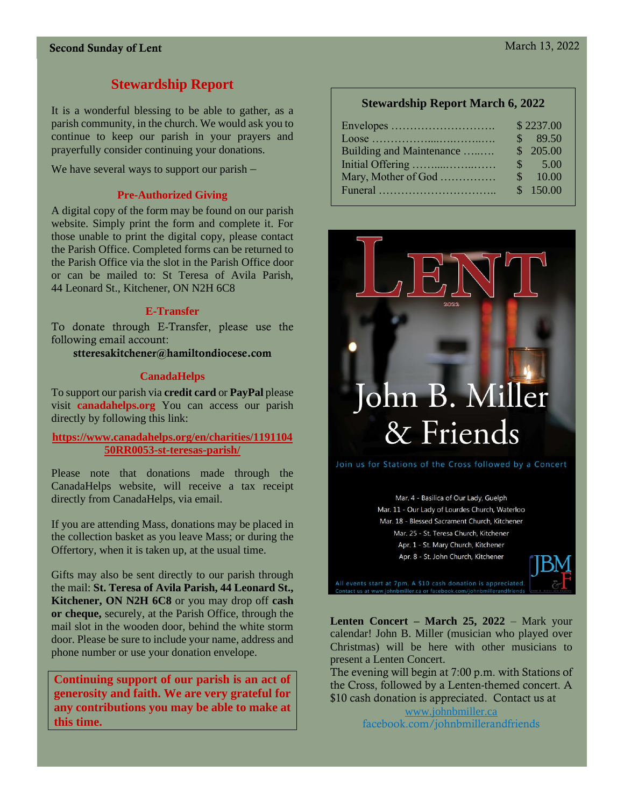# **Stewardship Report**

It is a wonderful blessing to be able to gather, as a parish community, in the church. We would ask you to continue to keep our parish in your prayers and prayerfully consider continuing your donations.

We have several ways to support our parish –

#### **Pre-Authorized Giving**

A digital copy of the form may be found on our parish website. Simply print the form and complete it. For those unable to print the digital copy, please contact the Parish Office. Completed forms can be returned to the Parish Office via the slot in the Parish Office door or can be mailed to: St Teresa of Avila Parish, 44 Leonard St., Kitchener, ON N2H 6C8

#### **E-Transfer**

To donate through E-Transfer, please use the following email account:

stteresakitchener@hamiltondiocese.com

#### **CanadaHelps**

To support our parish via **credit card** or **PayPal** please visit **canadahelps.org** You can access our parish directly by following this link:

**[https://www.canadahelps.org/en/charities/1191104](https://www.canadahelps.org/en/charities/119110450RR0053-st-teresas-parish/) [50RR0053-st-teresas-parish/](https://www.canadahelps.org/en/charities/119110450RR0053-st-teresas-parish/)**

Please note that donations made through the CanadaHelps website, will receive a tax receipt directly from CanadaHelps, via email.

If you are attending Mass, donations may be placed in the collection basket as you leave Mass; or during the Offertory, when it is taken up, at the usual time.

Gifts may also be sent directly to our parish through the mail: **St. Teresa of Avila Parish, 44 Leonard St., Kitchener, ON N2H 6C8** or you may drop off **cash or cheque,** securely, at the Parish Office, through the mail slot in the wooden door, behind the white storm door. Please be sure to include your name, address and phone number or use your donation envelope.

**Continuing support of our parish is an act of generosity and faith. We are very grateful for any contributions you may be able to make at this time.**

#### **Stewardship Report March 6, 2022**

|                                             |               | \$2237.00         |
|---------------------------------------------|---------------|-------------------|
|                                             | $\mathcal{S}$ | 89.50             |
| Building and Maintenance                    |               | \$205.00          |
|                                             |               | $\frac{\$}{5.00}$ |
| Mary, Mother of God                         | $\mathcal{S}$ | 10.00             |
| Funeral $\ldots$ $\ldots$ $\ldots$ $\ldots$ |               | \$150.00          |



Join us for Stations of the Cross followed by a Concert

Mar. 4 - Basilica of Our Lady, Guelph Mar. 11 - Our Lady of Lourdes Church, Waterloo Mar. 18 - Blessed Sacrament Church, Kitchener Mar. 25 - St. Teresa Church, Kitchener Apr. 1 - St. Mary Church, Kitchener Apr. 8 - St. John Church, Kitchener



**Lenten Concert – March 25, 2022** – Mark your calendar! John B. Miller (musician who played over Christmas) will be here with other musicians to present a Lenten Concert.

The evening will begin at 7:00 p.m. with Stations of the Cross, followed by a Lenten-themed concert. A \$10 cash donation is appreciated. Contact us at

> [www.johnbmiller.ca](http://www.johnbmiller.ca/) facebook.com/johnbmillerandfriends